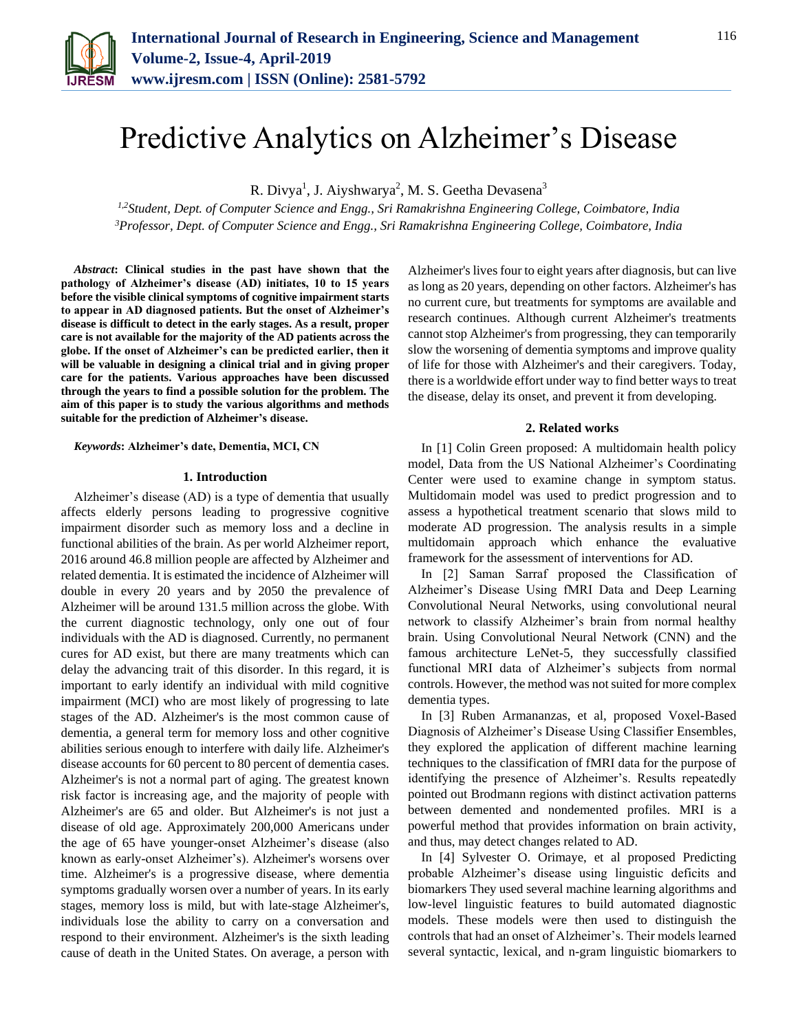

# Predictive Analytics on Alzheimer's Disease

R. Divya<sup>1</sup>, J. Aiyshwarya<sup>2</sup>, M. S. Geetha Devasena<sup>3</sup>

*1,2Student, Dept. of Computer Science and Engg., Sri Ramakrishna Engineering College, Coimbatore, India 3Professor, Dept. of Computer Science and Engg., Sri Ramakrishna Engineering College, Coimbatore, India*

*Abstract***: Clinical studies in the past have shown that the pathology of Alzheimer's disease (AD) initiates, 10 to 15 years before the visible clinical symptoms of cognitive impairment starts to appear in AD diagnosed patients. But the onset of Alzheimer's disease is difficult to detect in the early stages. As a result, proper care is not available for the majority of the AD patients across the globe. If the onset of Alzheimer's can be predicted earlier, then it will be valuable in designing a clinical trial and in giving proper care for the patients. Various approaches have been discussed through the years to find a possible solution for the problem. The aim of this paper is to study the various algorithms and methods suitable for the prediction of Alzheimer's disease.** 

### *Keywords***: Alzheimer's date, Dementia, MCI, CN**

#### **1. Introduction**

Alzheimer's disease (AD) is a type of dementia that usually affects elderly persons leading to progressive cognitive impairment disorder such as memory loss and a decline in functional abilities of the brain. As per world Alzheimer report, 2016 around 46.8 million people are affected by Alzheimer and related dementia. It is estimated the incidence of Alzheimer will double in every 20 years and by 2050 the prevalence of Alzheimer will be around 131.5 million across the globe. With the current diagnostic technology, only one out of four individuals with the AD is diagnosed. Currently, no permanent cures for AD exist, but there are many treatments which can delay the advancing trait of this disorder. In this regard, it is important to early identify an individual with mild cognitive impairment (MCI) who are most likely of progressing to late stages of the AD. Alzheimer's is the most common cause of dementia, a general term for memory loss and other cognitive abilities serious enough to interfere with daily life. Alzheimer's disease accounts for 60 percent to 80 percent of dementia cases. Alzheimer's is not a normal part of aging. The greatest known risk factor is increasing age, and the majority of people with Alzheimer's are 65 and older. But Alzheimer's is not just a disease of old age. Approximately 200,000 Americans under the age of 65 have younger-onset Alzheimer's disease (also known as early-onset Alzheimer's). Alzheimer's worsens over time. Alzheimer's is a progressive disease, where dementia symptoms gradually worsen over a number of years. In its early stages, memory loss is mild, but with late-stage Alzheimer's, individuals lose the ability to carry on a conversation and respond to their environment. Alzheimer's is the sixth leading cause of death in the United States. On average, a person with

Alzheimer's lives four to eight years after diagnosis, but can live as long as 20 years, depending on other factors. Alzheimer's has no current cure, but treatments for symptoms are available and research continues. Although current Alzheimer's treatments cannot stop Alzheimer's from progressing, they can temporarily slow the worsening of dementia symptoms and improve quality of life for those with Alzheimer's and their caregivers. Today, there is a worldwide effort under way to find better ways to treat the disease, delay its onset, and prevent it from developing.

#### **2. Related works**

In [1] Colin Green proposed: A multidomain health policy model, Data from the US National Alzheimer's Coordinating Center were used to examine change in symptom status. Multidomain model was used to predict progression and to assess a hypothetical treatment scenario that slows mild to moderate AD progression. The analysis results in a simple multidomain approach which enhance the evaluative framework for the assessment of interventions for AD.

In [2] Saman Sarraf proposed the Classification of Alzheimer's Disease Using fMRI Data and Deep Learning Convolutional Neural Networks, using convolutional neural network to classify Alzheimer's brain from normal healthy brain. Using Convolutional Neural Network (CNN) and the famous architecture LeNet-5, they successfully classified functional MRI data of Alzheimer's subjects from normal controls. However, the method was not suited for more complex dementia types.

In [3] Ruben Armananzas, et al, proposed Voxel-Based Diagnosis of Alzheimer's Disease Using Classifier Ensembles, they explored the application of different machine learning techniques to the classification of fMRI data for the purpose of identifying the presence of Alzheimer's. Results repeatedly pointed out Brodmann regions with distinct activation patterns between demented and nondemented profiles. MRI is a powerful method that provides information on brain activity, and thus, may detect changes related to AD.

In [4] Sylvester O. Orimaye, et al proposed Predicting probable Alzheimer's disease using linguistic deficits and biomarkers They used several machine learning algorithms and low-level linguistic features to build automated diagnostic models. These models were then used to distinguish the controls that had an onset of Alzheimer's. Their models learned several syntactic, lexical, and n-gram linguistic biomarkers to